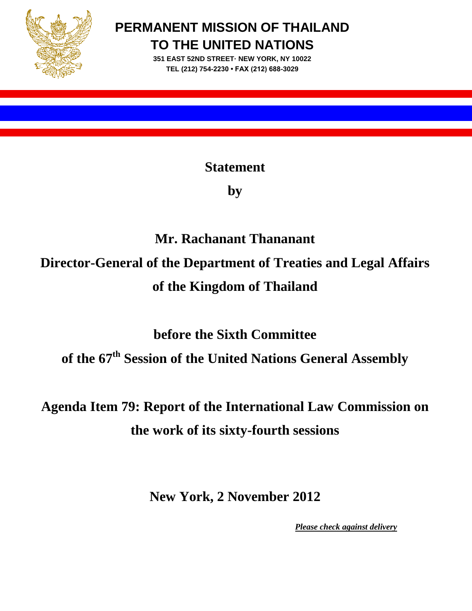

**PERMANENT MISSION OF THAILAND TO THE UNITED NATIONS**

> **351 EAST 52ND STREET· NEW YORK, NY 10022 TEL (212) 754-2230 • FAX (212) 688-3029**

> > **Statement**

**by**

## **Mr. Rachanant Thananant Director-General of the Department of Treaties and Legal Affairs**

# **of the Kingdom of Thailand**

**before the Sixth Committee**

**of the 67th Session of the United Nations General Assembly**

### **Agenda Item 79: Report of the International Law Commission on the work of its sixty-fourth sessions**

**New York, 2 November 2012**

*Please check against delivery*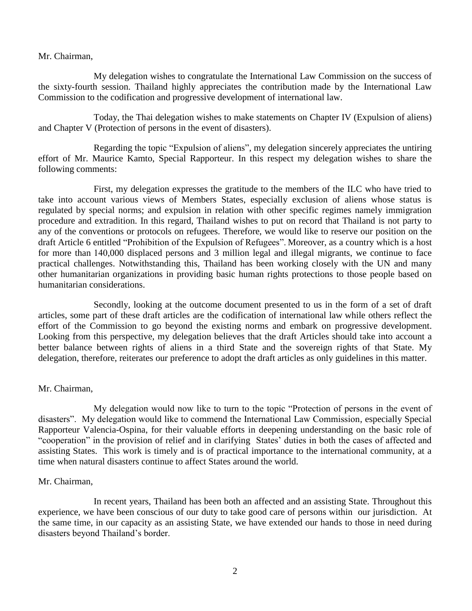Mr. Chairman,

My delegation wishes to congratulate the International Law Commission on the success of the sixty-fourth session. Thailand highly appreciates the contribution made by the International Law Commission to the codification and progressive development of international law.

Today, the Thai delegation wishes to make statements on Chapter IV (Expulsion of aliens) and Chapter V (Protection of persons in the event of disasters).

Regarding the topic "Expulsion of aliens", my delegation sincerely appreciates the untiring effort of Mr. Maurice Kamto, Special Rapporteur. In this respect my delegation wishes to share the following comments:

First, my delegation expresses the gratitude to the members of the ILC who have tried to take into account various views of Members States, especially exclusion of aliens whose status is regulated by special norms; and expulsion in relation with other specific regimes namely immigration procedure and extradition. In this regard, Thailand wishes to put on record that Thailand is not party to any of the conventions or protocols on refugees. Therefore, we would like to reserve our position on the draft Article 6 entitled "Prohibition of the Expulsion of Refugees". Moreover, as a country which is a host for more than 140,000 displaced persons and 3 million legal and illegal migrants, we continue to face practical challenges. Notwithstanding this, Thailand has been working closely with the UN and many other humanitarian organizations in providing basic human rights protections to those people based on humanitarian considerations.

Secondly, looking at the outcome document presented to us in the form of a set of draft articles, some part of these draft articles are the codification of international law while others reflect the effort of the Commission to go beyond the existing norms and embark on progressive development. Looking from this perspective, my delegation believes that the draft Articles should take into account a better balance between rights of aliens in a third State and the sovereign rights of that State. My delegation, therefore, reiterates our preference to adopt the draft articles as only guidelines in this matter.

### Mr. Chairman,

My delegation would now like to turn to the topic "Protection of persons in the event of disasters". My delegation would like to commend the International Law Commission, especially Special Rapporteur Valencia-Ospina, for their valuable efforts in deepening understanding on the basic role of "cooperation" in the provision of relief and in clarifying States' duties in both the cases of affected and assisting States. This work is timely and is of practical importance to the international community, at a time when natural disasters continue to affect States around the world.

#### Mr. Chairman,

In recent years, Thailand has been both an affected and an assisting State. Throughout this experience, we have been conscious of our duty to take good care of persons within our jurisdiction. At the same time, in our capacity as an assisting State, we have extended our hands to those in need during disasters beyond Thailand's border.